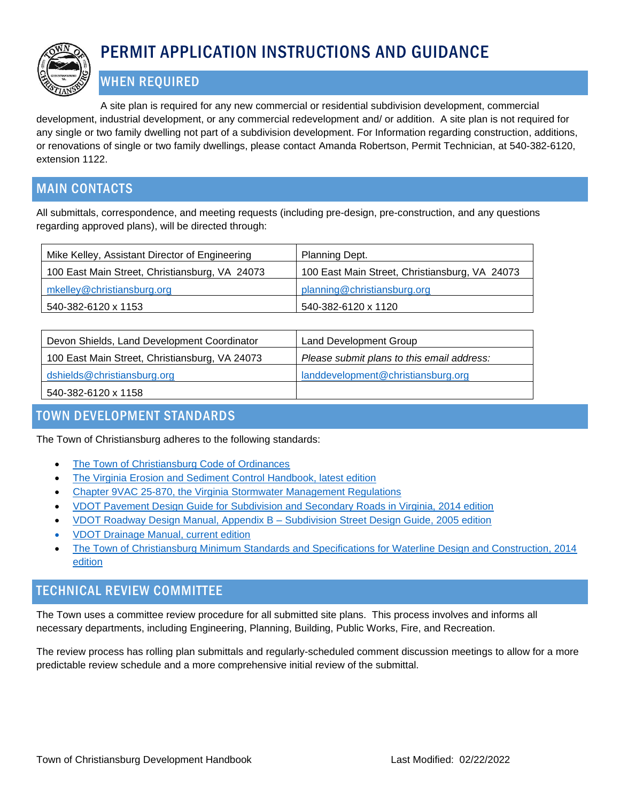

# PERMIT APPLICATION INSTRUCTIONS AND GUIDANCE

# WHEN REQUIRED

A site plan is required for any new commercial or residential subdivision development, commercial development, industrial development, or any commercial redevelopment and/ or addition. A site plan is not required for any single or two family dwelling not part of a subdivision development. For Information regarding construction, additions, or renovations of single or two family dwellings, please contact Amanda Robertson, Permit Technician, at 540-382-6120, extension 1122.

# MAIN CONTACTS

All submittals, correspondence, and meeting requests (including pre-design, pre-construction, and any questions regarding approved plans), will be directed through:

| Mike Kelley, Assistant Director of Engineering | Planning Dept.                                 |
|------------------------------------------------|------------------------------------------------|
| 100 East Main Street, Christiansburg, VA 24073 | 100 East Main Street, Christiansburg, VA 24073 |
| mkelley@christiansburg.org                     | planning@christiansburg.org                    |
| 540-382-6120 x 1153                            | 540-382-6120 x 1120                            |

| Devon Shields, Land Development Coordinator    | Land Development Group                     |
|------------------------------------------------|--------------------------------------------|
| 100 East Main Street, Christiansburg, VA 24073 | Please submit plans to this email address: |
| dshields@christiansburg.org                    | landdevelopment@christiansburg.org         |
| 540-382-6120 x 1158                            |                                            |

# TOWN DEVELOPMENT STANDARDS

The Town of Christiansburg adheres to the following standards:

- [The Town of Christiansburg Code of Ordinances](https://library.municode.com/va/christiansburg/codes/code_of_ordinances)
- [The Virginia Erosion and Sediment](http://www.deq.virginia.gov/Programs/Water/StormwaterManagement/Publications/ESCHandbook.aspx) Control Handbook, latest edition
- [Chapter 9VAC 25-870, the Virginia Stormwater Management Regulations](https://law.lis.virginia.gov/admincode/title9/agency25/chapter870/)
- [VDOT Pavement Design Guide for Subdivision and Secondary Roads in Virginia, 2014 edition](http://www.virginiadot.org/VDOT/Business/asset_upload_file388_3638.pdf)
- [VDOT Roadway Design Manual, Appendix B –](http://www.virginiadot.org/business/locdes/rdmanual-index.asp) Subdivision Street Design Guide, 2005 edition
- [VDOT Drainage Manual, current edition](http://www.virginiadot.org/business/locdes/hydra-drainage-manual.asp)
- [The Town of Christiansburg Minimum Standards and Specifications for Waterline Design and Construction, 2014](http://www.christiansburg.org/DocumentCenter/View/4400)  [edition](http://www.christiansburg.org/DocumentCenter/View/4400)

### TECHNICAL REVIEW COMMITTEE

The Town uses a committee review procedure for all submitted site plans. This process involves and informs all necessary departments, including Engineering, Planning, Building, Public Works, Fire, and Recreation.

The review process has rolling plan submittals and regularly-scheduled comment discussion meetings to allow for a more predictable review schedule and a more comprehensive initial review of the submittal.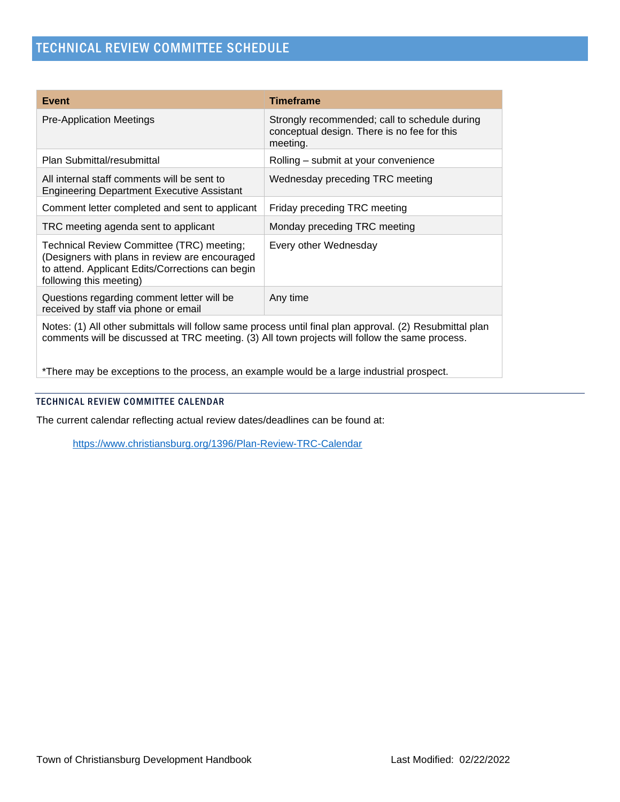| Event                                                                                                                                                                                                      | <b>Timeframe</b>                                                                                         |
|------------------------------------------------------------------------------------------------------------------------------------------------------------------------------------------------------------|----------------------------------------------------------------------------------------------------------|
| <b>Pre-Application Meetings</b>                                                                                                                                                                            | Strongly recommended; call to schedule during<br>conceptual design. There is no fee for this<br>meeting. |
| Plan Submittal/resubmittal                                                                                                                                                                                 | Rolling – submit at your convenience                                                                     |
| All internal staff comments will be sent to<br><b>Engineering Department Executive Assistant</b>                                                                                                           | Wednesday preceding TRC meeting                                                                          |
| Comment letter completed and sent to applicant                                                                                                                                                             | Friday preceding TRC meeting                                                                             |
| TRC meeting agenda sent to applicant                                                                                                                                                                       | Monday preceding TRC meeting                                                                             |
| Technical Review Committee (TRC) meeting;<br>(Designers with plans in review are encouraged<br>to attend. Applicant Edits/Corrections can begin<br>following this meeting)                                 | Every other Wednesday                                                                                    |
| Questions regarding comment letter will be<br>received by staff via phone or email                                                                                                                         | Any time                                                                                                 |
| Notes: (1) All other submittals will follow same process until final plan approval. (2) Resubmittal plan<br>comments will be discussed at TRC meeting. (3) All town projects will follow the same process. |                                                                                                          |

\*There may be exceptions to the process, an example would be a large industrial prospect.

### TECHNICAL REVIEW COMMITTEE CALENDAR

The current calendar reflecting actual review dates/deadlines can be found at:

<https://www.christiansburg.org/1396/Plan-Review-TRC-Calendar>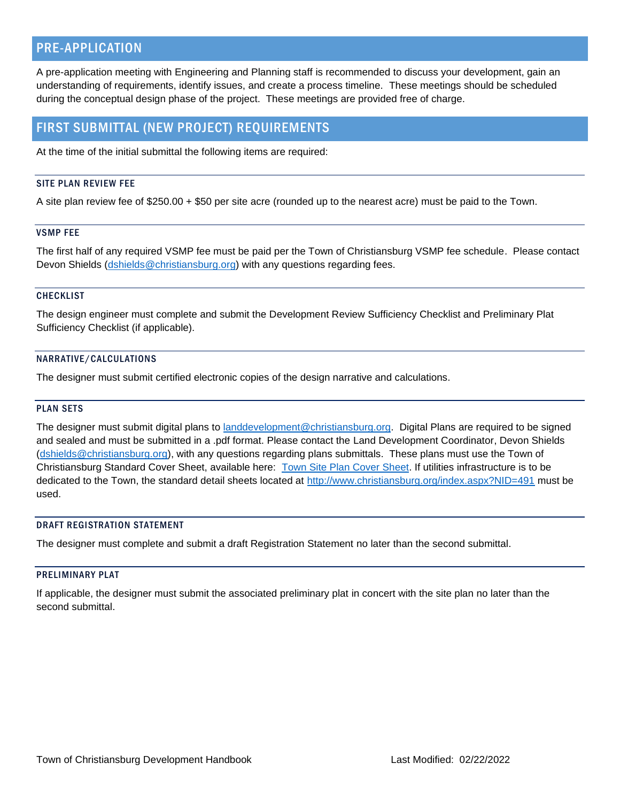### PRE-APPLICATION

A pre-application meeting with Engineering and Planning staff is recommended to discuss your development, gain an understanding of requirements, identify issues, and create a process timeline. These meetings should be scheduled during the conceptual design phase of the project. These meetings are provided free of charge.

### FIRST SUBMITTAL (NEW PROJECT) REQUIREMENTS

At the time of the initial submittal the following items are required:

### SITE PLAN REVIEW FEE

A site plan review fee of \$250.00 + \$50 per site acre (rounded up to the nearest acre) must be paid to the Town.

#### VSMP FEE

The first half of any required VSMP fee must be paid per the Town of Christiansburg VSMP fee schedule. Please contact Devon Shields [\(dshields@christiansburg.org\)](mailto:dshields@christiansburg.org) with any questions regarding fees.

#### **CHECKLIST**

The design engineer must complete and submit the Development Review Sufficiency Checklist and Preliminary Plat Sufficiency Checklist (if applicable).

#### NARRATIVE/CALCULATIONS

The designer must submit certified electronic copies of the design narrative and calculations.

#### PLAN SETS

The designer must submit digital plans to [landdevelopment@christiansburg.org.](mailto:landdevelopment@christiansburg.org) Digital Plans are required to be signed and sealed and must be submitted in a .pdf format. Please contact the Land Development Coordinator, Devon Shields [\(dshields@christiansburg.org\)](mailto:dshields@christiansburg.org), with any questions regarding plans submittals. These plans must use the Town of Christiansburg Standard Cover Sheet, available here: [Town Site Plan Cover Sheet.](http://www.christiansburg.org/DocumentCenter/View/7248/Town---Site-Plan-Cover-Sheet---REV-2018-02-21) If utilities infrastructure is to be dedicated to the Town, the standard detail sheets located at<http://www.christiansburg.org/index.aspx?NID=491> must be used.

#### DRAFT REGISTRATION STATEMENT

The designer must complete and submit a draft Registration Statement no later than the second submittal.

#### PRELIMINARY PLAT

If applicable, the designer must submit the associated preliminary plat in concert with the site plan no later than the second submittal.